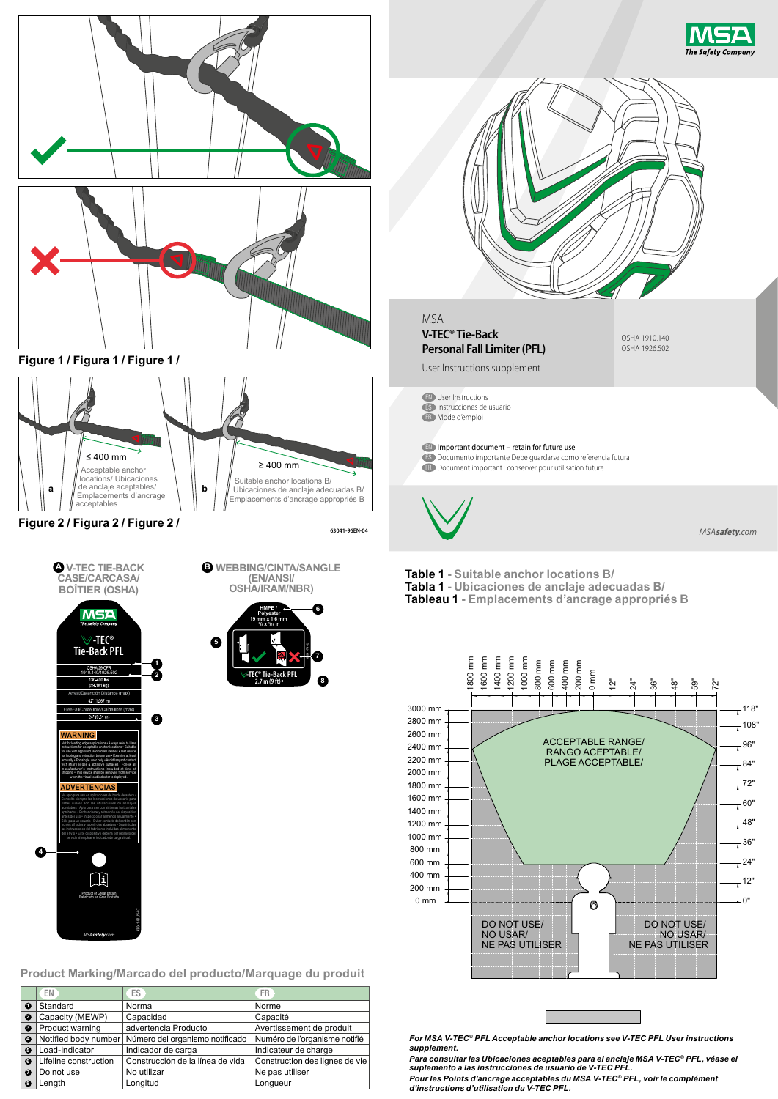

|                       | EN                    | ES                                                   | <b>FR</b>                      |                                       |
|-----------------------|-----------------------|------------------------------------------------------|--------------------------------|---------------------------------------|
| 0                     | Standard              | Norma                                                | Norme                          |                                       |
| ø                     | Capacity (MEWP)       | Capacidad                                            | Capacité                       |                                       |
| ❸                     | Product warning       | advertencia Producto                                 | Avertissement de produit       |                                       |
| ø                     |                       | Notified body number Número del organismo notificado | Numéro de l'organisme notifié  | <b>For MSA V-TI</b>                   |
| $\boldsymbol{\Theta}$ | Load-indicator        | Indicador de carga                                   | Indicateur de charge           | supplement.                           |
| $\bullet$             | Lifeline construction | Construcción de la línea de vida                     | Construction des lignes de vie | Para consulta                         |
| ൨                     | Do not use            | No utilizar                                          | Ne pas utiliser                | suplemento a                          |
| $\boldsymbol{\Omega}$ | Lenath                | Longitud                                             | Longueur                       | <b>Pour les Poin</b><br>d'inctruction |

*For MSA V-TEC® PFL Acceptable anchor locations see V-TEC PFL User instructions supplement.* 

 $-12"$ 0"

24" 36" 48" 60"

84" 96" 108" 118"

72"

*Para consultar las Ubicaciones aceptables para el anclaje MSA V-TEC® PFL, véase el suplemento a las instrucciones de usuario de V-TEC PFL.* 

*Pour les Points d'ancrage acceptables du MSA V-TEC® PFL, voir le complément d'instructions d'utilisation du V-TEC PFL.*